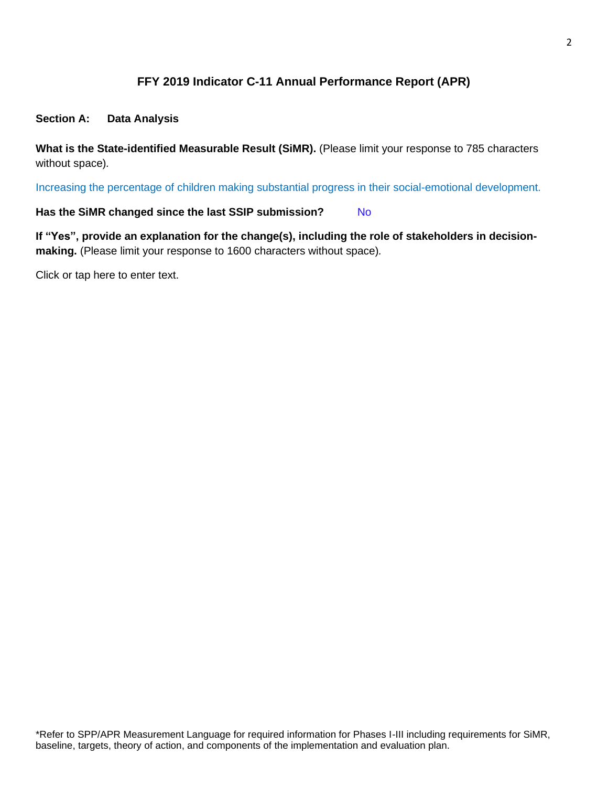# **FFY 2019 Indicator C-11 Annual Performance Report (APR)**

### **Section A: Data Analysis**

**What is the State-identified Measurable Result (SiMR).** (Please limit your response to 785 characters without space)*.*

Increasing the percentage of children making substantial progress in their social-emotional development.

### Has the SiMR changed since the last SSIP submission? No

**If "Yes", provide an explanation for the change(s), including the role of stakeholders in decisionmaking.** (Please limit your response to 1600 characters without space)*.*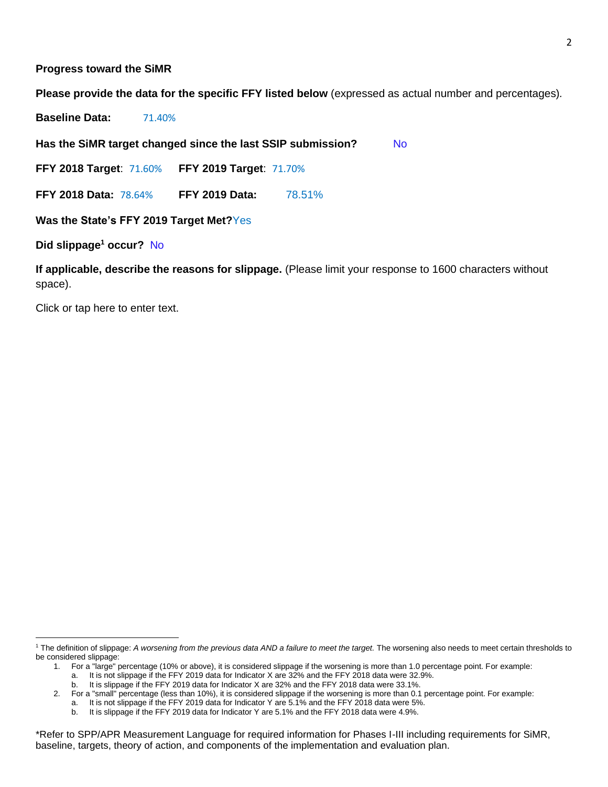#### **Progress toward the SiMR**

**Please provide the data for the specific FFY listed below** (expressed as actual number and percentages)*.*

**Baseline Data:** 71.40%

Has the SiMR target changed since the last SSIP submission? No

**FFY 2018 Target**: 71.60% **FFY 2019 Target**: 71.70%

**FFY 2018 Data:** 78.64% **FFY 2019 Data:** 78.51%

**Was the State's FFY 2019 Target Met?**Yes

**Did slippage<sup>1</sup> occur?** No

**If applicable, describe the reasons for slippage.** (Please limit your response to 1600 characters without space).

<sup>&</sup>lt;sup>1</sup> The definition of slippage: A worsening from the previous data AND a failure to meet the target. The worsening also needs to meet certain thresholds to be considered slippage:

<sup>1.</sup> For a "large" percentage (10% or above), it is considered slippage if the worsening is more than 1.0 percentage point. For example:

a. It is not slippage if the FFY 2019 data for Indicator X are 32% and the FFY 2018 data were 32.9%.

b. It is slippage if the FFY 2019 data for Indicator X are 32% and the FFY 2018 data were 33.1%.

<sup>2.</sup> For a "small" percentage (less than 10%), it is considered slippage if the worsening is more than 0.1 percentage point. For example:

a. It is not slippage if the FFY 2019 data for Indicator Y are 5.1% and the FFY 2018 data were 5%.

b. It is slippage if the FFY 2019 data for Indicator Y are 5.1% and the FFY 2018 data were 4.9%.

<sup>\*</sup>Refer to SPP/APR Measurement Language for required information for Phases I-III including requirements for SiMR, baseline, targets, theory of action, and components of the implementation and evaluation plan.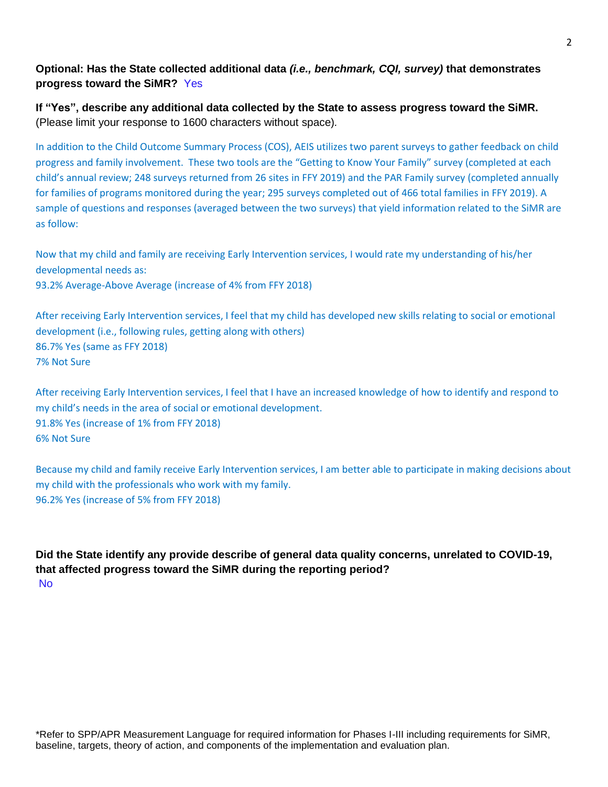# **Optional: Has the State collected additional data** *(i.e., benchmark, CQI, survey)* **that demonstrates progress toward the SiMR?** Yes

**If "Yes", describe any additional data collected by the State to assess progress toward the SiMR.** (Please limit your response to 1600 characters without space)*.*

In addition to the Child Outcome Summary Process (COS), AEIS utilizes two parent surveys to gather feedback on child progress and family involvement. These two tools are the "Getting to Know Your Family" survey (completed at each child's annual review; 248 surveys returned from 26 sites in FFY 2019) and the PAR Family survey (completed annually for families of programs monitored during the year; 295 surveys completed out of 466 total families in FFY 2019). A sample of questions and responses (averaged between the two surveys) that yield information related to the SiMR are as follow:

Now that my child and family are receiving Early Intervention services, I would rate my understanding of his/her developmental needs as: 93.2% Average-Above Average (increase of 4% from FFY 2018)

After receiving Early Intervention services, I feel that my child has developed new skills relating to social or emotional development (i.e., following rules, getting along with others) 86.7% Yes (same as FFY 2018) 7% Not Sure

After receiving Early Intervention services, I feel that I have an increased knowledge of how to identify and respond to my child's needs in the area of social or emotional development. 91.8% Yes (increase of 1% from FFY 2018) 6% Not Sure

Because my child and family receive Early Intervention services, I am better able to participate in making decisions about my child with the professionals who work with my family. 96.2% Yes (increase of 5% from FFY 2018)

**Did the State identify any provide describe of general data quality concerns, unrelated to COVID-19, that affected progress toward the SiMR during the reporting period?** No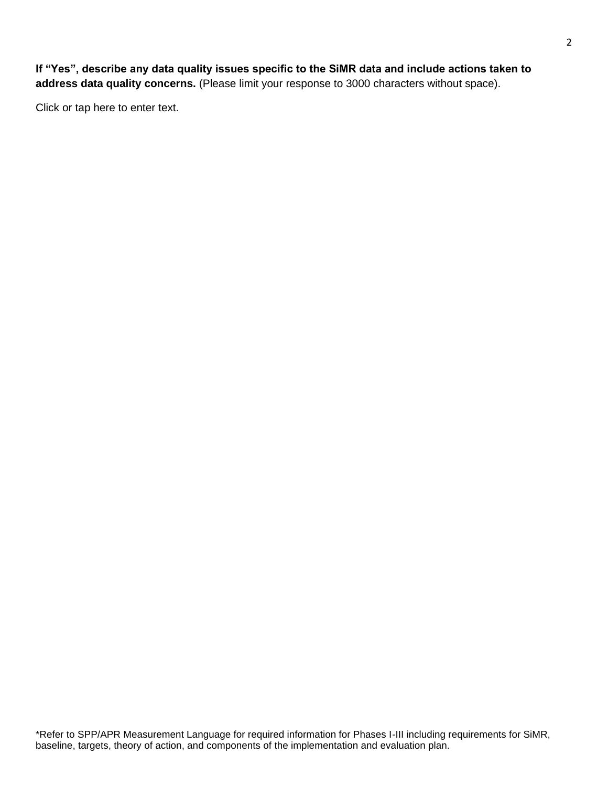**If "Yes", describe any data quality issues specific to the SiMR data and include actions taken to address data quality concerns.** (Please limit your response to 3000 characters without space).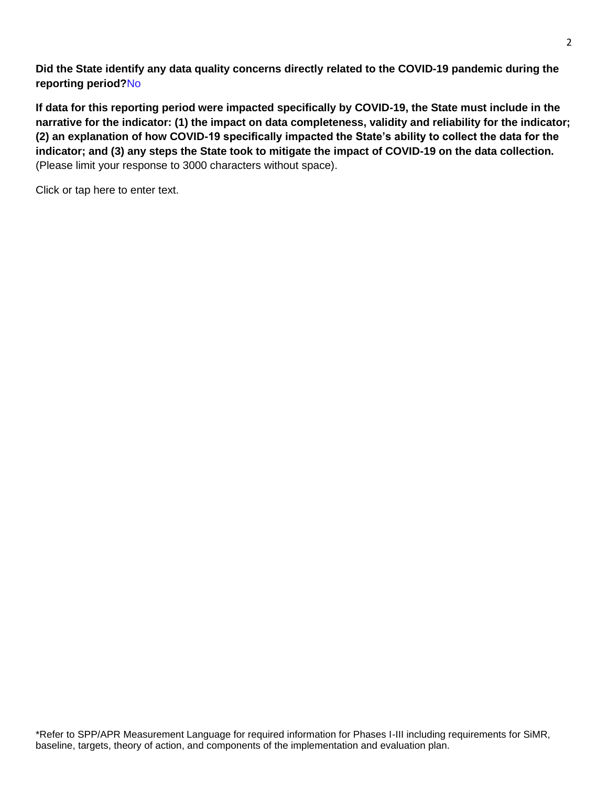**Did the State identify any data quality concerns directly related to the COVID-19 pandemic during the reporting period?**No

**If data for this reporting period were impacted specifically by COVID-19, the State must include in the narrative for the indicator: (1) the impact on data completeness, validity and reliability for the indicator; (2) an explanation of how COVID-19 specifically impacted the State's ability to collect the data for the indicator; and (3) any steps the State took to mitigate the impact of COVID-19 on the data collection.** (Please limit your response to 3000 characters without space).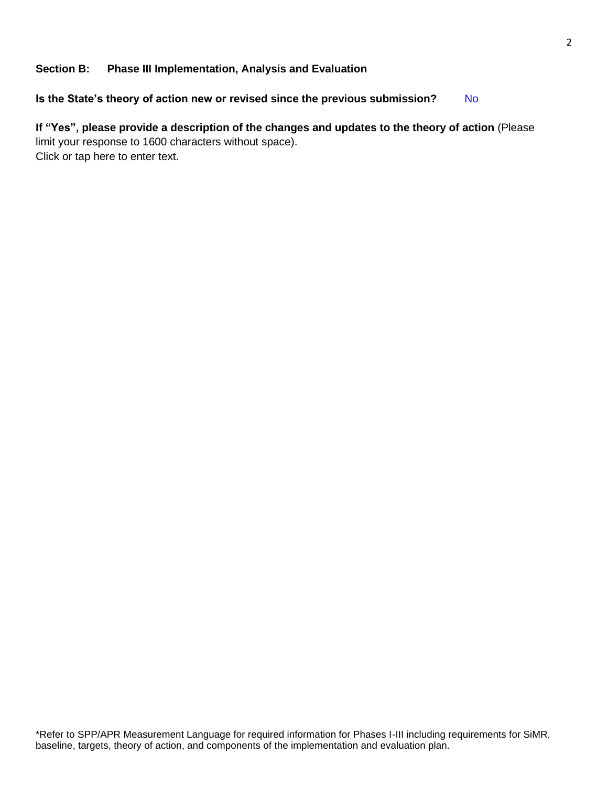### **Section B: Phase III Implementation, Analysis and Evaluation**

Is the State's theory of action new or revised since the previous submission? No

# **If "Yes", please provide a description of the changes and updates to the theory of action** (Please limit your response to 1600 characters without space). Click or tap here to enter text.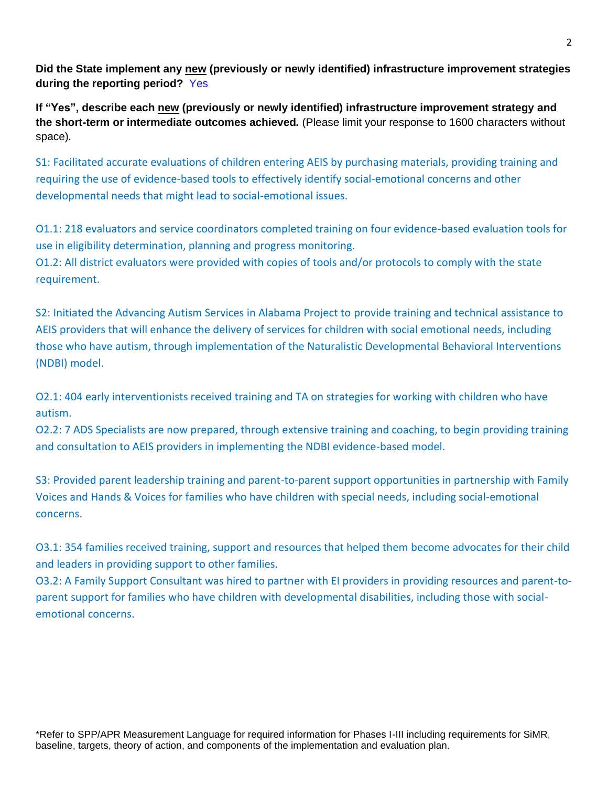**Did the State implement any new (previously or newly identified) infrastructure improvement strategies during the reporting period?** Yes

**If "Yes", describe each new (previously or newly identified) infrastructure improvement strategy and the short-term or intermediate outcomes achieved***.* (Please limit your response to 1600 characters without space)*.*

S1: Facilitated accurate evaluations of children entering AEIS by purchasing materials, providing training and requiring the use of evidence-based tools to effectively identify social-emotional concerns and other developmental needs that might lead to social-emotional issues.

O1.1: 218 evaluators and service coordinators completed training on four evidence-based evaluation tools for use in eligibility determination, planning and progress monitoring. O1.2: All district evaluators were provided with copies of tools and/or protocols to comply with the state requirement.

S2: Initiated the Advancing Autism Services in Alabama Project to provide training and technical assistance to AEIS providers that will enhance the delivery of services for children with social emotional needs, including those who have autism, through implementation of the Naturalistic Developmental Behavioral Interventions (NDBI) model.

O2.1: 404 early interventionists received training and TA on strategies for working with children who have autism.

O2.2: 7 ADS Specialists are now prepared, through extensive training and coaching, to begin providing training and consultation to AEIS providers in implementing the NDBI evidence-based model.

S3: Provided parent leadership training and parent-to-parent support opportunities in partnership with Family Voices and Hands & Voices for families who have children with special needs, including social-emotional concerns.

O3.1: 354 families received training, support and resources that helped them become advocates for their child and leaders in providing support to other families.

O3.2: A Family Support Consultant was hired to partner with EI providers in providing resources and parent-toparent support for families who have children with developmental disabilities, including those with socialemotional concerns.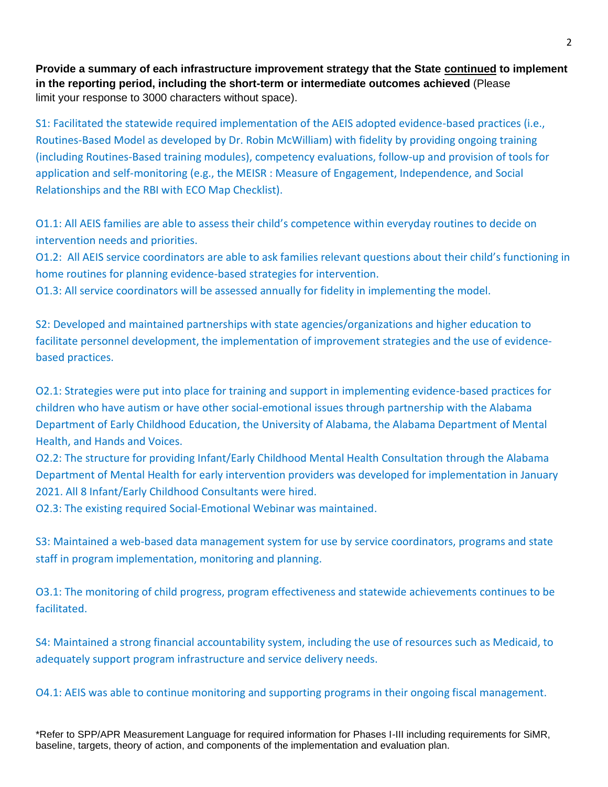**Provide a summary of each infrastructure improvement strategy that the State continued to implement in the reporting period, including the short-term or intermediate outcomes achieved** (Please limit your response to 3000 characters without space).

S1: Facilitated the statewide required implementation of the AEIS adopted evidence-based practices (i.e., Routines-Based Model as developed by Dr. Robin McWilliam) with fidelity by providing ongoing training (including Routines-Based training modules), competency evaluations, follow-up and provision of tools for application and self-monitoring (e.g., the MEISR : Measure of Engagement, Independence, and Social Relationships and the RBI with ECO Map Checklist).

O1.1: All AEIS families are able to assess their child's competence within everyday routines to decide on intervention needs and priorities.

O1.2: All AEIS service coordinators are able to ask families relevant questions about their child's functioning in home routines for planning evidence-based strategies for intervention.

O1.3: All service coordinators will be assessed annually for fidelity in implementing the model.

S2: Developed and maintained partnerships with state agencies/organizations and higher education to facilitate personnel development, the implementation of improvement strategies and the use of evidencebased practices.

O2.1: Strategies were put into place for training and support in implementing evidence-based practices for children who have autism or have other social-emotional issues through partnership with the Alabama Department of Early Childhood Education, the University of Alabama, the Alabama Department of Mental Health, and Hands and Voices.

O2.2: The structure for providing Infant/Early Childhood Mental Health Consultation through the Alabama Department of Mental Health for early intervention providers was developed for implementation in January 2021. All 8 Infant/Early Childhood Consultants were hired.

O2.3: The existing required Social-Emotional Webinar was maintained.

S3: Maintained a web-based data management system for use by service coordinators, programs and state staff in program implementation, monitoring and planning.

O3.1: The monitoring of child progress, program effectiveness and statewide achievements continues to be facilitated.

S4: Maintained a strong financial accountability system, including the use of resources such as Medicaid, to adequately support program infrastructure and service delivery needs.

O4.1: AEIS was able to continue monitoring and supporting programs in their ongoing fiscal management.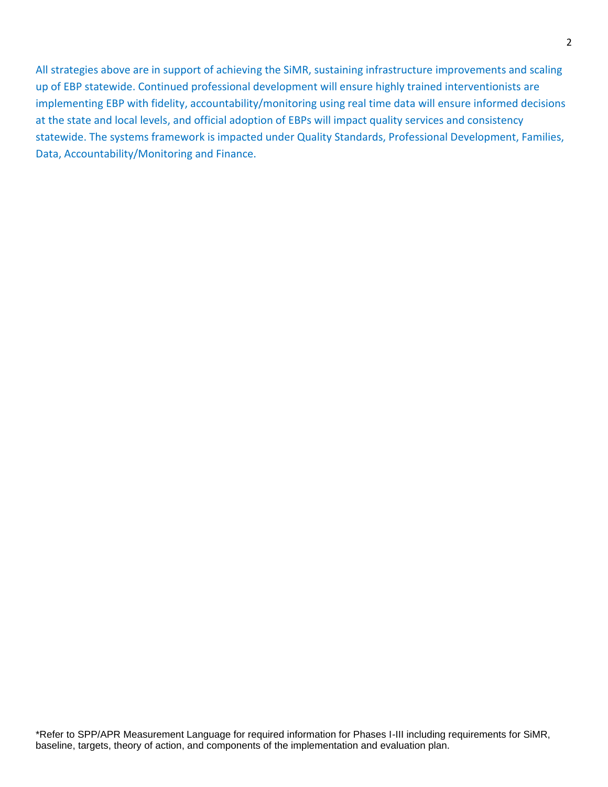All strategies above are in support of achieving the SiMR, sustaining infrastructure improvements and scaling up of EBP statewide. Continued professional development will ensure highly trained interventionists are implementing EBP with fidelity, accountability/monitoring using real time data will ensure informed decisions at the state and local levels, and official adoption of EBPs will impact quality services and consistency statewide. The systems framework is impacted under Quality Standards, Professional Development, Families, Data, Accountability/Monitoring and Finance.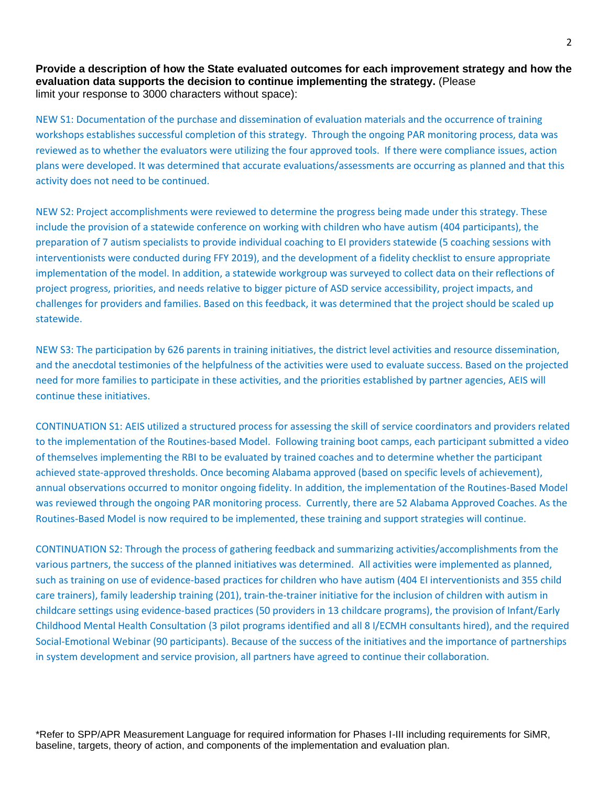**Provide a description of how the State evaluated outcomes for each improvement strategy and how the evaluation data supports the decision to continue implementing the strategy.** (Please limit your response to 3000 characters without space):

NEW S1: Documentation of the purchase and dissemination of evaluation materials and the occurrence of training workshops establishes successful completion of this strategy. Through the ongoing PAR monitoring process, data was reviewed as to whether the evaluators were utilizing the four approved tools. If there were compliance issues, action plans were developed. It was determined that accurate evaluations/assessments are occurring as planned and that this activity does not need to be continued.

NEW S2: Project accomplishments were reviewed to determine the progress being made under this strategy. These include the provision of a statewide conference on working with children who have autism (404 participants), the preparation of 7 autism specialists to provide individual coaching to EI providers statewide (5 coaching sessions with interventionists were conducted during FFY 2019), and the development of a fidelity checklist to ensure appropriate implementation of the model. In addition, a statewide workgroup was surveyed to collect data on their reflections of project progress, priorities, and needs relative to bigger picture of ASD service accessibility, project impacts, and challenges for providers and families. Based on this feedback, it was determined that the project should be scaled up statewide.

NEW S3: The participation by 626 parents in training initiatives, the district level activities and resource dissemination, and the anecdotal testimonies of the helpfulness of the activities were used to evaluate success. Based on the projected need for more families to participate in these activities, and the priorities established by partner agencies, AEIS will continue these initiatives.

CONTINUATION S1: AEIS utilized a structured process for assessing the skill of service coordinators and providers related to the implementation of the Routines-based Model. Following training boot camps, each participant submitted a video of themselves implementing the RBI to be evaluated by trained coaches and to determine whether the participant achieved state-approved thresholds. Once becoming Alabama approved (based on specific levels of achievement), annual observations occurred to monitor ongoing fidelity. In addition, the implementation of the Routines-Based Model was reviewed through the ongoing PAR monitoring process. Currently, there are 52 Alabama Approved Coaches. As the Routines-Based Model is now required to be implemented, these training and support strategies will continue.

CONTINUATION S2: Through the process of gathering feedback and summarizing activities/accomplishments from the various partners, the success of the planned initiatives was determined. All activities were implemented as planned, such as training on use of evidence-based practices for children who have autism (404 EI interventionists and 355 child care trainers), family leadership training (201), train-the-trainer initiative for the inclusion of children with autism in childcare settings using evidence-based practices (50 providers in 13 childcare programs), the provision of Infant/Early Childhood Mental Health Consultation (3 pilot programs identified and all 8 I/ECMH consultants hired), and the required Social-Emotional Webinar (90 participants). Because of the success of the initiatives and the importance of partnerships in system development and service provision, all partners have agreed to continue their collaboration.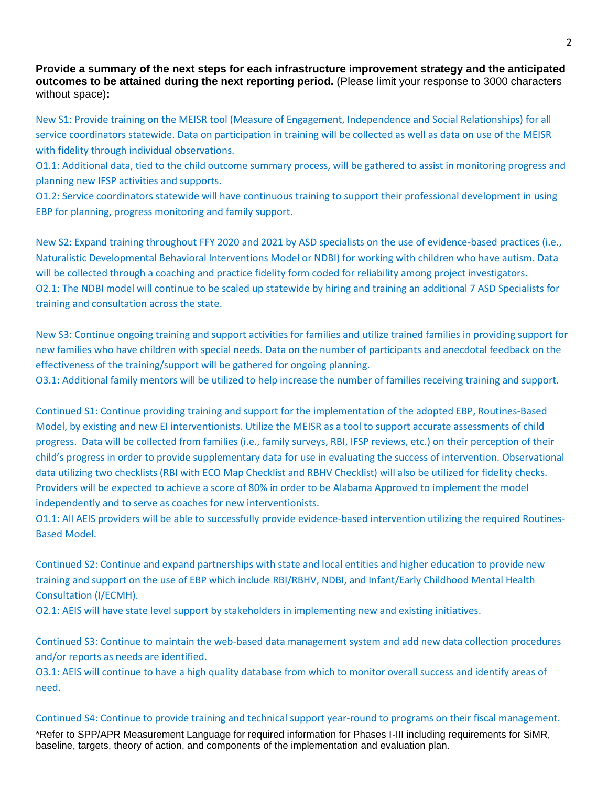**Provide a summary of the next steps for each infrastructure improvement strategy and the anticipated outcomes to be attained during the next reporting period.** (Please limit your response to 3000 characters without space)**:**

New S1: Provide training on the MEISR tool (Measure of Engagement, Independence and Social Relationships) for all service coordinators statewide. Data on participation in training will be collected as well as data on use of the MEISR with fidelity through individual observations.

O1.1: Additional data, tied to the child outcome summary process, will be gathered to assist in monitoring progress and planning new IFSP activities and supports.

O1.2: Service coordinators statewide will have continuous training to support their professional development in using EBP for planning, progress monitoring and family support.

New S2: Expand training throughout FFY 2020 and 2021 by ASD specialists on the use of evidence-based practices (i.e., Naturalistic Developmental Behavioral Interventions Model or NDBI) for working with children who have autism. Data will be collected through a coaching and practice fidelity form coded for reliability among project investigators. O2.1: The NDBI model will continue to be scaled up statewide by hiring and training an additional 7 ASD Specialists for training and consultation across the state.

New S3: Continue ongoing training and support activities for families and utilize trained families in providing support for new families who have children with special needs. Data on the number of participants and anecdotal feedback on the effectiveness of the training/support will be gathered for ongoing planning.

O3.1: Additional family mentors will be utilized to help increase the number of families receiving training and support.

Continued S1: Continue providing training and support for the implementation of the adopted EBP, Routines-Based Model, by existing and new EI interventionists. Utilize the MEISR as a tool to support accurate assessments of child progress. Data will be collected from families (i.e., family surveys, RBI, IFSP reviews, etc.) on their perception of their child's progress in order to provide supplementary data for use in evaluating the success of intervention. Observational data utilizing two checklists (RBI with ECO Map Checklist and RBHV Checklist) will also be utilized for fidelity checks. Providers will be expected to achieve a score of 80% in order to be Alabama Approved to implement the model independently and to serve as coaches for new interventionists.

O1.1: All AEIS providers will be able to successfully provide evidence-based intervention utilizing the required Routines-Based Model.

Continued S2: Continue and expand partnerships with state and local entities and higher education to provide new training and support on the use of EBP which include RBI/RBHV, NDBI, and Infant/Early Childhood Mental Health Consultation (I/ECMH).

O2.1: AEIS will have state level support by stakeholders in implementing new and existing initiatives.

Continued S3: Continue to maintain the web-based data management system and add new data collection procedures and/or reports as needs are identified.

O3.1: AEIS will continue to have a high quality database from which to monitor overall success and identify areas of need.

#### Continued S4: Continue to provide training and technical support year-round to programs on their fiscal management.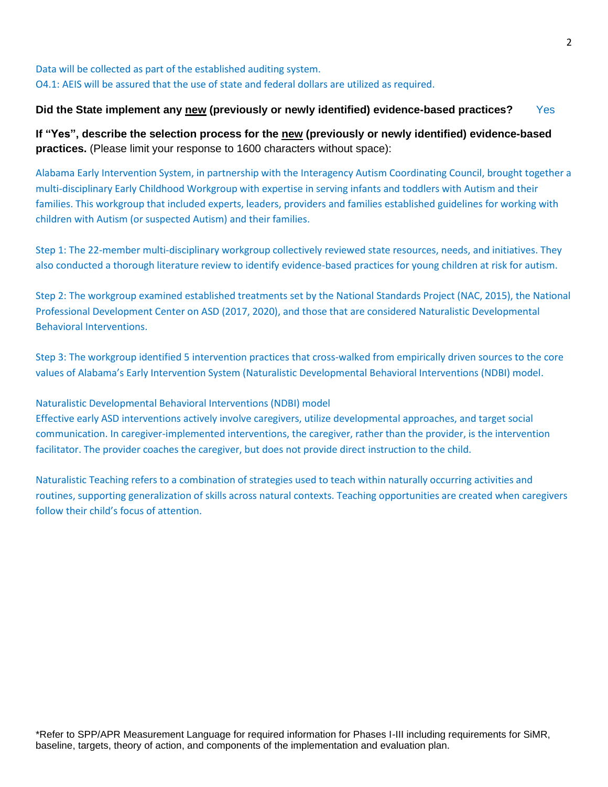# Data will be collected as part of the established auditing system. O4.1: AEIS will be assured that the use of state and federal dollars are utilized as required.

### **Did the State implement any new (previously or newly identified) evidence-based practices?** Yes

**If "Yes", describe the selection process for the new (previously or newly identified) evidence-based practices.** (Please limit your response to 1600 characters without space):

Alabama Early Intervention System, in partnership with the Interagency Autism Coordinating Council, brought together a multi-disciplinary Early Childhood Workgroup with expertise in serving infants and toddlers with Autism and their families. This workgroup that included experts, leaders, providers and families established guidelines for working with children with Autism (or suspected Autism) and their families.

Step 1: The 22-member multi-disciplinary workgroup collectively reviewed state resources, needs, and initiatives. They also conducted a thorough literature review to identify evidence-based practices for young children at risk for autism.

Step 2: The workgroup examined established treatments set by the National Standards Project (NAC, 2015), the National Professional Development Center on ASD (2017, 2020), and those that are considered Naturalistic Developmental Behavioral Interventions.

Step 3: The workgroup identified 5 intervention practices that cross-walked from empirically driven sources to the core values of Alabama's Early Intervention System (Naturalistic Developmental Behavioral Interventions (NDBI) model.

### Naturalistic Developmental Behavioral Interventions (NDBI) model

Effective early ASD interventions actively involve caregivers, utilize developmental approaches, and target social communication. In caregiver-implemented interventions, the caregiver, rather than the provider, is the intervention facilitator. The provider coaches the caregiver, but does not provide direct instruction to the child.

Naturalistic Teaching refers to a combination of strategies used to teach within naturally occurring activities and routines, supporting generalization of skills across natural contexts. Teaching opportunities are created when caregivers follow their child's focus of attention.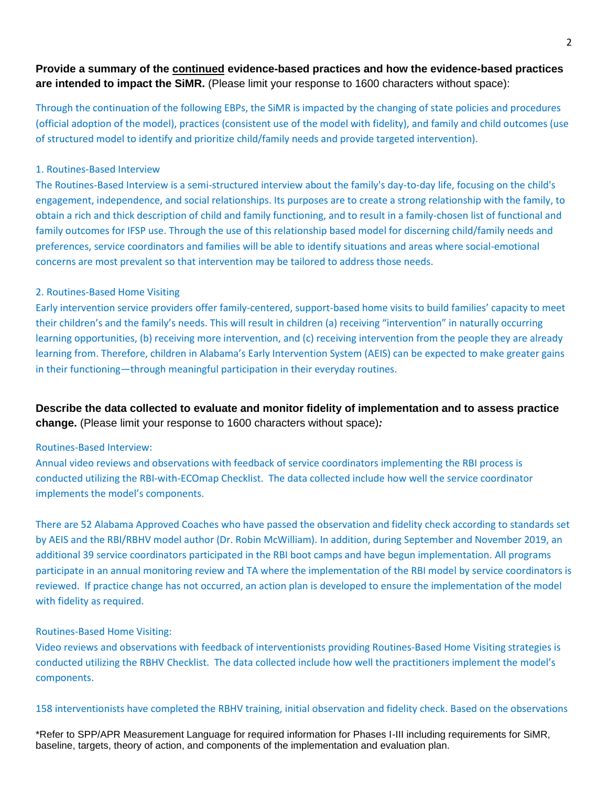# **Provide a summary of the continued evidence-based practices and how the evidence-based practices are intended to impact the SiMR.** (Please limit your response to 1600 characters without space):

Through the continuation of the following EBPs, the SiMR is impacted by the changing of state policies and procedures (official adoption of the model), practices (consistent use of the model with fidelity), and family and child outcomes (use of structured model to identify and prioritize child/family needs and provide targeted intervention).

### 1. Routines-Based Interview

The Routines-Based Interview is a semi-structured interview about the family's day-to-day life, focusing on the child's engagement, independence, and social relationships. Its purposes are to create a strong relationship with the family, to obtain a rich and thick description of child and family functioning, and to result in a family-chosen list of functional and family outcomes for IFSP use. Through the use of this relationship based model for discerning child/family needs and preferences, service coordinators and families will be able to identify situations and areas where social-emotional concerns are most prevalent so that intervention may be tailored to address those needs.

#### 2. Routines-Based Home Visiting

Early intervention service providers offer family-centered, support-based home visits to build families' capacity to meet their children's and the family's needs. This will result in children (a) receiving "intervention" in naturally occurring learning opportunities, (b) receiving more intervention, and (c) receiving intervention from the people they are already learning from. Therefore, children in Alabama's Early Intervention System (AEIS) can be expected to make greater gains in their functioning—through meaningful participation in their everyday routines.

**Describe the data collected to evaluate and monitor fidelity of implementation and to assess practice change.** (Please limit your response to 1600 characters without space)*:*

#### Routines-Based Interview:

Annual video reviews and observations with feedback of service coordinators implementing the RBI process is conducted utilizing the RBI-with-ECOmap Checklist. The data collected include how well the service coordinator implements the model's components.

There are 52 Alabama Approved Coaches who have passed the observation and fidelity check according to standards set by AEIS and the RBI/RBHV model author (Dr. Robin McWilliam). In addition, during September and November 2019, an additional 39 service coordinators participated in the RBI boot camps and have begun implementation. All programs participate in an annual monitoring review and TA where the implementation of the RBI model by service coordinators is reviewed. If practice change has not occurred, an action plan is developed to ensure the implementation of the model with fidelity as required.

#### Routines-Based Home Visiting:

Video reviews and observations with feedback of interventionists providing Routines-Based Home Visiting strategies is conducted utilizing the RBHV Checklist. The data collected include how well the practitioners implement the model's components.

158 interventionists have completed the RBHV training, initial observation and fidelity check. Based on the observations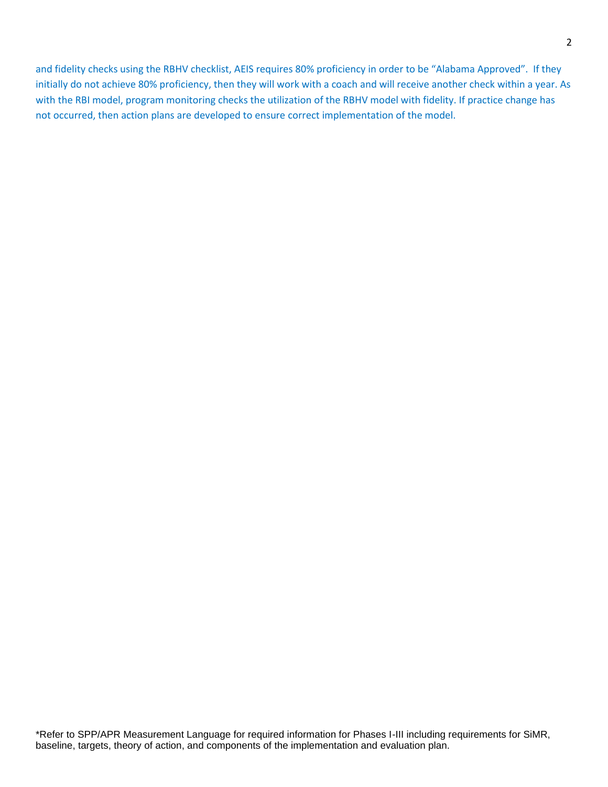and fidelity checks using the RBHV checklist, AEIS requires 80% proficiency in order to be "Alabama Approved". If they initially do not achieve 80% proficiency, then they will work with a coach and will receive another check within a year. As with the RBI model, program monitoring checks the utilization of the RBHV model with fidelity. If practice change has not occurred, then action plans are developed to ensure correct implementation of the model.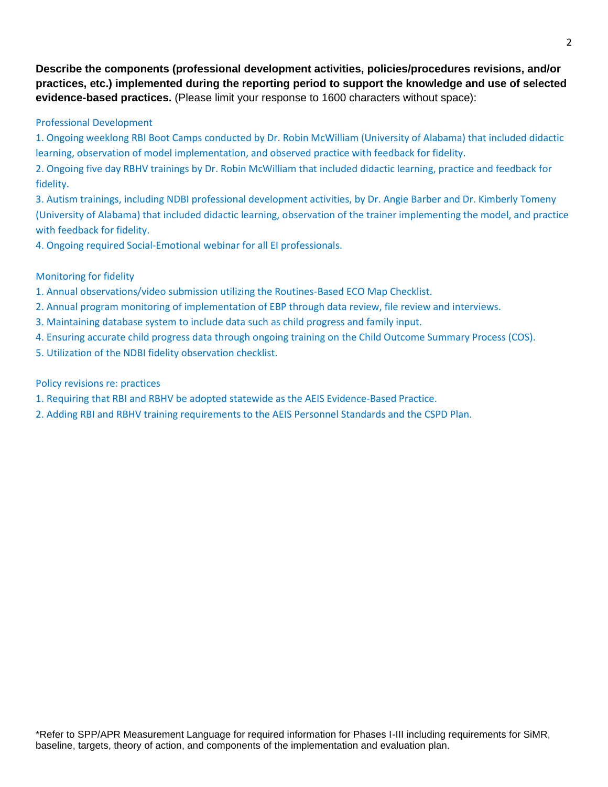**Describe the components (professional development activities, policies/procedures revisions, and/or practices, etc.) implemented during the reporting period to support the knowledge and use of selected evidence-based practices.** (Please limit your response to 1600 characters without space):

### Professional Development

1. Ongoing weeklong RBI Boot Camps conducted by Dr. Robin McWilliam (University of Alabama) that included didactic learning, observation of model implementation, and observed practice with feedback for fidelity.

2. Ongoing five day RBHV trainings by Dr. Robin McWilliam that included didactic learning, practice and feedback for fidelity.

3. Autism trainings, including NDBI professional development activities, by Dr. Angie Barber and Dr. Kimberly Tomeny (University of Alabama) that included didactic learning, observation of the trainer implementing the model, and practice with feedback for fidelity.

4. Ongoing required Social-Emotional webinar for all EI professionals.

# Monitoring for fidelity

- 1. Annual observations/video submission utilizing the Routines-Based ECO Map Checklist.
- 2. Annual program monitoring of implementation of EBP through data review, file review and interviews.
- 3. Maintaining database system to include data such as child progress and family input.
- 4. Ensuring accurate child progress data through ongoing training on the Child Outcome Summary Process (COS).
- 5. Utilization of the NDBI fidelity observation checklist.

### Policy revisions re: practices

- 1. Requiring that RBI and RBHV be adopted statewide as the AEIS Evidence-Based Practice.
- 2. Adding RBI and RBHV training requirements to the AEIS Personnel Standards and the CSPD Plan.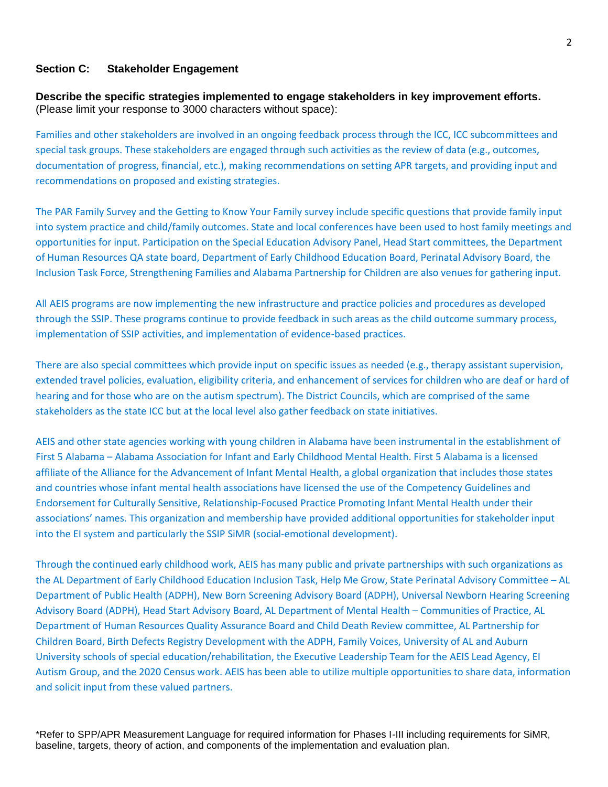#### **Section C: Stakeholder Engagement**

**Describe the specific strategies implemented to engage stakeholders in key improvement efforts.** (Please limit your response to 3000 characters without space):

Families and other stakeholders are involved in an ongoing feedback process through the ICC, ICC subcommittees and special task groups. These stakeholders are engaged through such activities as the review of data (e.g., outcomes, documentation of progress, financial, etc.), making recommendations on setting APR targets, and providing input and recommendations on proposed and existing strategies.

The PAR Family Survey and the Getting to Know Your Family survey include specific questions that provide family input into system practice and child/family outcomes. State and local conferences have been used to host family meetings and opportunities for input. Participation on the Special Education Advisory Panel, Head Start committees, the Department of Human Resources QA state board, Department of Early Childhood Education Board, Perinatal Advisory Board, the Inclusion Task Force, Strengthening Families and Alabama Partnership for Children are also venues for gathering input.

All AEIS programs are now implementing the new infrastructure and practice policies and procedures as developed through the SSIP. These programs continue to provide feedback in such areas as the child outcome summary process, implementation of SSIP activities, and implementation of evidence-based practices.

There are also special committees which provide input on specific issues as needed (e.g., therapy assistant supervision, extended travel policies, evaluation, eligibility criteria, and enhancement of services for children who are deaf or hard of hearing and for those who are on the autism spectrum). The District Councils, which are comprised of the same stakeholders as the state ICC but at the local level also gather feedback on state initiatives.

AEIS and other state agencies working with young children in Alabama have been instrumental in the establishment of First 5 Alabama – Alabama Association for Infant and Early Childhood Mental Health. First 5 Alabama is a licensed affiliate of the Alliance for the Advancement of Infant Mental Health, a global organization that includes those states and countries whose infant mental health associations have licensed the use of the Competency Guidelines and Endorsement for Culturally Sensitive, Relationship-Focused Practice Promoting Infant Mental Health under their associations' names. This organization and membership have provided additional opportunities for stakeholder input into the EI system and particularly the SSIP SiMR (social-emotional development).

Through the continued early childhood work, AEIS has many public and private partnerships with such organizations as the AL Department of Early Childhood Education Inclusion Task, Help Me Grow, State Perinatal Advisory Committee – AL Department of Public Health (ADPH), New Born Screening Advisory Board (ADPH), Universal Newborn Hearing Screening Advisory Board (ADPH), Head Start Advisory Board, AL Department of Mental Health – Communities of Practice, AL Department of Human Resources Quality Assurance Board and Child Death Review committee, AL Partnership for Children Board, Birth Defects Registry Development with the ADPH, Family Voices, University of AL and Auburn University schools of special education/rehabilitation, the Executive Leadership Team for the AEIS Lead Agency, EI Autism Group, and the 2020 Census work. AEIS has been able to utilize multiple opportunities to share data, information and solicit input from these valued partners.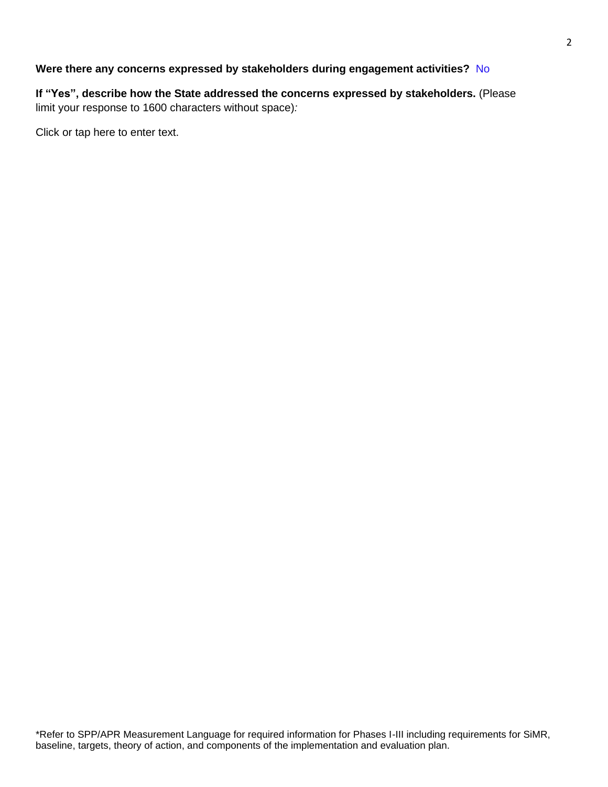# **Were there any concerns expressed by stakeholders during engagement activities?** No

**If "Yes", describe how the State addressed the concerns expressed by stakeholders.** (Please limit your response to 1600 characters without space)*:*